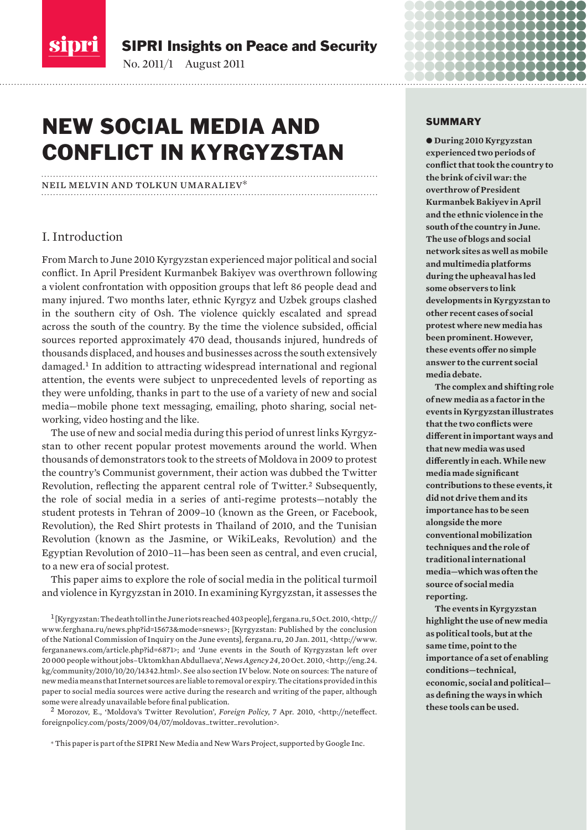

SIPRI Insights on Peace and Security

 $\mathcal{L}_{\mathcal{G}}$ 

# NEW SOCIAL MEDIA AND CONFLICT IN KYRGYZSTAN

#### neil melvin and tolkun umaraliev\*

# I. Introduction

From March to June 2010 Kyrgyzstan experienced major political and social conflict. In April President Kurmanbek Bakiyev was overthrown following a violent confrontation with opposition groups that left 86 people dead and many injured. Two months later, ethnic Kyrgyz and Uzbek groups clashed in the southern city of Osh. The violence quickly escalated and spread across the south of the country. By the time the violence subsided, official sources reported approximately 470 dead, thousands injured, hundreds of thousands displaced, and houses and businesses across the south extensively damaged.<sup>1</sup> In addition to attracting widespread international and regional attention, the events were subject to unprecedented levels of reporting as they were unfolding, thanks in part to the use of a variety of new and social media—mobile phone text messaging, emailing, photo sharing, social networking, video hosting and the like.

The use of new and social media during this period of unrest links Kyrgyzstan to other recent popular protest movements around the world. When thousands of demonstrators took to the streets of Moldova in 2009 to protest the country's Communist government, their action was dubbed the Twitter Revolution, reflecting the apparent central role of Twitter.<sup>2</sup> Subsequently, the role of social media in a series of anti-regime protests—notably the student protests in Tehran of 2009–10 (known as the Green, or Facebook, Revolution), the Red Shirt protests in Thailand of 2010, and the Tunisian Revolution (known as the Jasmine, or WikiLeaks, Revolution) and the Egyptian Revolution of 2010–11—has been seen as central, and even crucial, to a new era of social protest.

This paper aims to explore the role of social media in the political turmoil and violence in Kyrgyzstan in 2010. In examining Kyrgyzstan, it assesses the

<sup>2</sup>Morozov, E., 'Moldova's Twitter Revolution', *Foreign Policy*, 7 Apr. 2010, <http://neteffect. foreignpolicy.com/posts/2009/04/07/moldovas\_twitter\_revolution>.

\* This paper is part of the SIPRI New Media and New Wars Project, supported by Google Inc.

#### SUMMARY

**........** 

............ **. . . . . . .** .............. ,,,,,,,,,,,,,,,

 $\bullet$  During 2010 Kyrgyzstan **experienced two periods of conflict that took the country to the brink of civil war: the overthrow of President Kurmanbek Bakiyev in April and the ethnic violence in the south of the country in June. The use of blogs and social network sites as well as mobile and multimedia platforms during the upheaval has led some observers to link developments in Kyrgyzstan to other recent cases of social protest where new media has been prominent. However, these events offer no simple answer to the current social media debate.**

**The complex and shifting role of new media as a factor in the events in Kyrgyzstan illustrates that the two conflicts were different in important ways and that new media was used differently in each. While new media made significant contributions to these events, it did not drive them and its importance has to be seen alongside the more conventional mobilization techniques and the role of traditional international media—which was often the source of social media reporting.** 

**The events in Kyrgyzstan highlight the use of new media as political tools, but at the same time, point to the importance of a set of enabling conditions—technical, economic, social and political as defining the ways in which these tools can be used.** 

<sup>1</sup>[Kyrgyzstan: The death toll in the June riots reached 403 people], fergana.ru, 5 Oct. 2010, <http:// www.ferghana.ru/news.php?id=15673&mode=snews>; [Kyrgyzstan: Published by the conclusion of the National Commission of Inquiry on the June events], fergana.ru, 20 Jan. 2011, <http://www. fergananews.com/article.php?id=6871>; and 'June events in the South of Kyrgyzstan left over 20 000 people without jobs–Uktomkhan Abdullaeva', *News Agency 24*, 20 Oct. 2010, <http://eng.24. kg/community/2010/10/20/14342.html>. See also section IV below. Note on sources: The nature of new media means that Internet sources are liable to removal or expiry. The citations provided in this paper to social media sources were active during the research and writing of the paper, although some were already unavailable before final publication.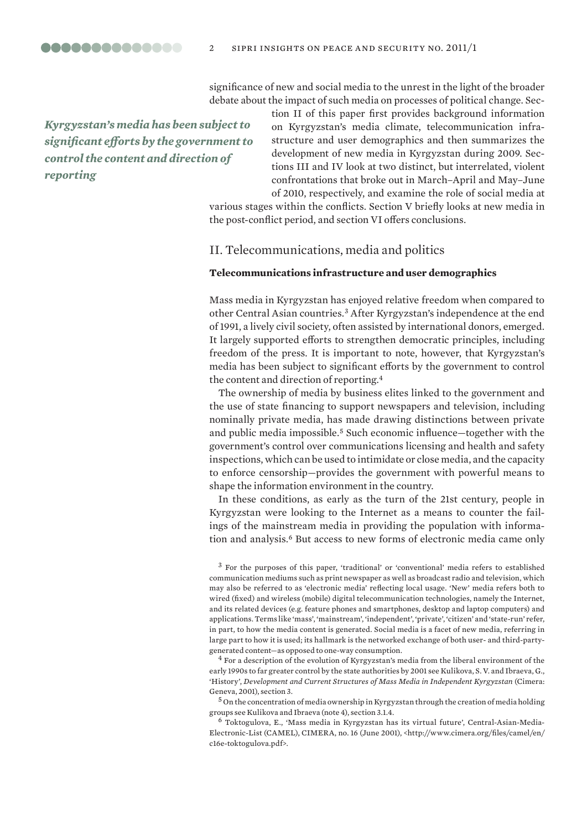00000000000000

significance of new and social media to the unrest in the light of the broader debate about the impact of such media on processes of political change. Sec-

*Kyrgyzstan's media has been subject to significant efforts by the government to control the content and direction of reporting*

tion II of this paper first provides background information on Kyrgyzstan's media climate, telecommunication infrastructure and user demographics and then summarizes the development of new media in Kyrgyzstan during 2009. Sections III and IV look at two distinct, but interrelated, violent confrontations that broke out in March–April and May–June of 2010, respectively, and examine the role of social media at

various stages within the conflicts. Section V briefly looks at new media in the post-conflict period, and section VI offers conclusions.

# II. Telecommunications, media and politics

## **Telecommunications infrastructure and user demographics**

Mass media in Kyrgyzstan has enjoyed relative freedom when compared to other Central Asian countries.<sup>3</sup> After Kyrgyzstan's independence at the end of 1991, a lively civil society, often assisted by international donors, emerged. It largely supported efforts to strengthen democratic principles, including freedom of the press. It is important to note, however, that Kyrgyzstan's media has been subject to significant efforts by the government to control the content and direction of reporting.<sup>4</sup>

The ownership of media by business elites linked to the government and the use of state financing to support newspapers and television, including nominally private media, has made drawing distinctions between private and public media impossible.<sup>5</sup> Such economic influence—together with the government's control over communications licensing and health and safety inspections, which can be used to intimidate or close media, and the capacity to enforce censorship—provides the government with powerful means to shape the information environment in the country.

In these conditions, as early as the turn of the 21st century, people in Kyrgyzstan were looking to the Internet as a means to counter the failings of the mainstream media in providing the population with information and analysis.<sup>6</sup> But access to new forms of electronic media came only

<sup>3</sup> For the purposes of this paper, 'traditional' or 'conventional' media refers to established communication mediums such as print newspaper as well as broadcast radio and television, which may also be referred to as 'electronic media' reflecting local usage. 'New' media refers both to wired (fixed) and wireless (mobile) digital telecommunication technologies, namely the Internet, and its related devices (e.g. feature phones and smartphones, desktop and laptop computers) and applications. Terms like 'mass', 'mainstream', 'independent', 'private', 'citizen' and 'state-run' refer, in part, to how the media content is generated. Social media is a facet of new media, referring in large part to how it is used; its hallmark is the networked exchange of both user- and third-partygenerated content—as opposed to one-way consumption.

<sup>4</sup>For a description of the evolution of Kyrgyzstan's media from the liberal environment of the early 1990s to far greater control by the state authorities by 2001 see Kulikova, S. V. and Ibraeva, G., 'History', *Development and Current Structures of Mass Media in Independent Kyrgyzstan* (Cimera: Geneva, 2001), section 3.

 $^5$  On the concentration of media ownership in Kyrgyzstan through the creation of media holding groups see Kulikova and Ibraeva (note 4), section 3.1.4.

 $6$  Toktogulova, E., 'Mass media in Kyrgyzstan has its virtual future', Central-Asian-Media-Electronic-List (CAMEL), CIMERA, no. 16 (June 2001), <http://www.cimera.org/files/camel/en/ c16e-toktogulova.pdf>.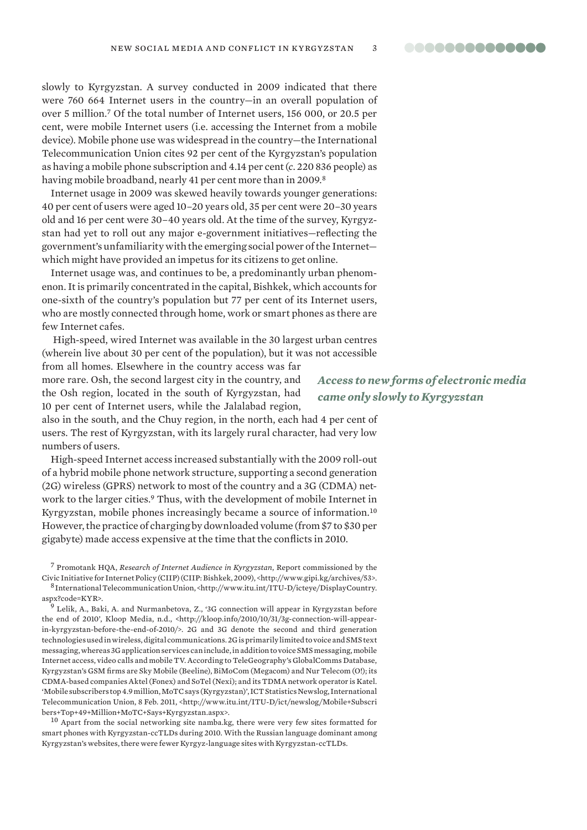slowly to Kyrgyzstan. A survey conducted in 2009 indicated that there were 760 664 Internet users in the country—in an overall population of over 5 million.<sup>7</sup> Of the total number of Internet users, 156 000, or 20.5 per cent, were mobile Internet users (i.e. accessing the Internet from a mobile device). Mobile phone use was widespread in the country—the International Telecommunication Union cites 92 per cent of the Kyrgyzstan's population as having a mobile phone subscription and 4.14 per cent (*c*. 220 836 people) as having mobile broadband, nearly 41 per cent more than in 2009.<sup>8</sup>

Internet usage in 2009 was skewed heavily towards younger generations: 40 per cent of users were aged 10–20 years old, 35 per cent were 20–30 years old and 16 per cent were 30–40 years old. At the time of the survey, Kyrgyzstan had yet to roll out any major e-government initiatives—reflecting the government's unfamiliarity with the emerging social power of the Internet which might have provided an impetus for its citizens to get online.

Internet usage was, and continues to be, a predominantly urban phenomenon. It is primarily concentrated in the capital, Bishkek, which accounts for one-sixth of the country's population but 77 per cent of its Internet users, who are mostly connected through home, work or smart phones as there are few Internet cafes.

 High-speed, wired Internet was available in the 30 largest urban centres (wherein live about 30 per cent of the population), but it was not accessible

from all homes. Elsewhere in the country access was far more rare. Osh, the second largest city in the country, and the Osh region, located in the south of Kyrgyzstan, had 10 per cent of Internet users, while the Jalalabad region,

also in the south, and the Chuy region, in the north, each had 4 per cent of users. The rest of Kyrgyzstan, with its largely rural character, had very low numbers of users.

High-speed Internet access increased substantially with the 2009 roll-out of a hybrid mobile phone network structure, supporting a second generation (2G) wireless (GPRS) network to most of the country and a 3G (CDMA) network to the larger cities.<sup>9</sup> Thus, with the development of mobile Internet in Kyrgyzstan, mobile phones increasingly became a source of information.<sup>10</sup> However,the practice of charging by downloaded volume (from \$7 to \$30 per gigabyte) made access expensive at the time that the conflicts in 2010.

<sup>7</sup>Promotank HQA, *Research of Internet Audience in Kyrgyzstan*, Report commissioned by the Civic Initiative for Internet Policy (CIIP) (CIIP: Bishkek, 2009), <http://www.gipi.kg/archives/53>. <sup>8</sup>International Telecommunication Union, <http://www.itu.int/ITU-D/icteye/DisplayCountry.

aspx?code=KYR>. <sup>9</sup> Lelik, A., Baki, A. and Nurmanbetova, Z., '3G connection will appear in Kyrgyzstan before the end of 2010', Kloop Media, n.d., <http://kloop.info/2010/10/31/3g-connection-will-appear-

in-kyrgyzstan-before-the-end-of-2010/>. 2G and 3G denote the second and third generation technologies used in wireless, digital communications. 2G is primarily limited to voice and SMS text messaging, whereas 3G application services can include, in addition to voice SMS messaging, mobile Internet access, video calls and mobile TV. According to TeleGeography's GlobalComms Database, Kyrgyzstan's GSM firms are Sky Mobile (Beeline), BiMoCom (Megacom) and Nur Telecom (O!); its CDMA-based companies Aktel (Fonex) and SoTel (Nexi); and its TDMA network operator is Katel. 'Mobile subscribers top 4.9 million, MoTC says (Kyrgyzstan)', ICT Statistics Newslog, International Telecommunication Union, 8 Feb. 2011, <http://www.itu.int/ITU-D/ict/newslog/Mobile+Subscri bers+Top+49+Million+MoTC+Says+Kyrgyzstan.aspx>.

<sup>10</sup> Apart from the social networking site namba.kg, there were very few sites formatted for smart phones with Kyrgyzstan-ccTLDs during 2010. With the Russian language dominant among Kyrgyzstan's websites, there were fewer Kyrgyz-language sites with Kyrgyzstan-ccTLDs.

*Access to new forms of electronic media came only slowly to Kyrgyzstan*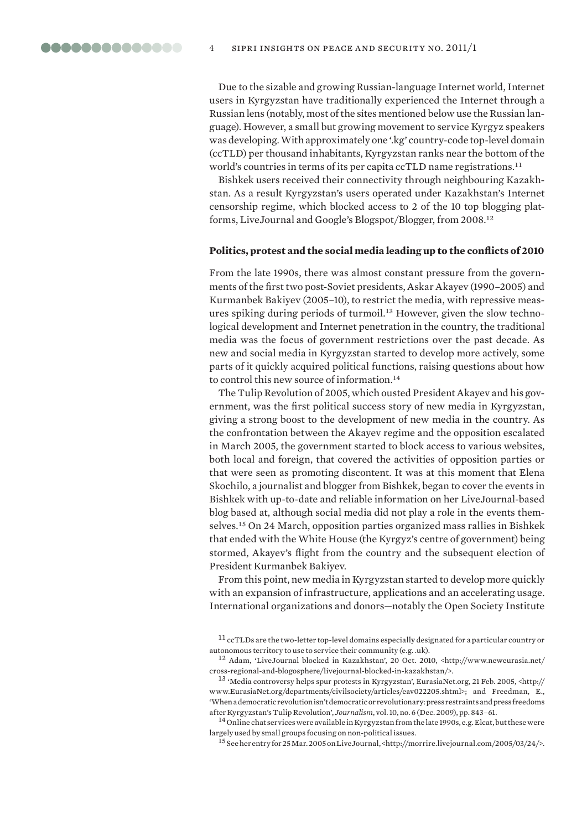Due to the sizable and growing Russian-language Internet world, Internet users in Kyrgyzstan have traditionally experienced the Internet through a Russian lens (notably, most of the sites mentioned below use the Russian language). However, a small but growing movement to service Kyrgyz speakers was developing. With approximately one '.kg' country-code top-level domain (ccTLD) per thousand inhabitants, Kyrgyzstan ranks near the bottom of the world's countries in terms of its per capita ccTLD name registrations.<sup>11</sup>

Bishkek users received their connectivity through neighbouring Kazakhstan. As a result Kyrgyzstan's users operated under Kazakhstan's Internet censorship regime, which blocked access to 2 of the 10 top blogging platforms, LiveJournal and Google's Blogspot/Blogger, from 2008.<sup>12</sup>

#### **Politics, protest and the social media leading up to the conflicts of 2010**

From the late 1990s, there was almost constant pressure from the governments of the first two post-Soviet presidents, Askar Akayev (1990–2005) and Kurmanbek Bakiyev (2005–10), to restrict the media, with repressive measures spiking during periods of turmoil.13 However, given the slow technological development and Internet penetration in the country, the traditional media was the focus of government restrictions over the past decade. As new and social media in Kyrgyzstan started to develop more actively, some parts of it quickly acquired political functions, raising questions about how to control this new source of information.<sup>14</sup>

The Tulip Revolution of 2005, which ousted President Akayev and his government, was the first political success story of new media in Kyrgyzstan, giving a strong boost to the development of new media in the country. As the confrontation between the Akayev regime and the opposition escalated in March 2005, the government started to block access to various websites, both local and foreign, that covered the activities of opposition parties or that were seen as promoting discontent. It was at this moment that Elena Skochilo, a journalist and blogger from Bishkek, began to cover the events in Bishkek with up-to-date and reliable information on her LiveJournal-based blog based at, although social media did not play a role in the events themselves.<sup>15</sup> On 24 March, opposition parties organized mass rallies in Bishkek that ended with the White House (the Kyrgyz's centre of government) being stormed, Akayev's flight from the country and the subsequent election of President Kurmanbek Bakiyev.

From this point, new media in Kyrgyzstan started to develop more quickly with an expansion of infrastructure, applications and an accelerating usage. International organizations and donors—notably the Open Society Institute

<sup>12</sup> Adam, 'LiveJournal blocked in Kazakhstan', 20 Oct. 2010, <http://www.neweurasia.net/ cross-regional-and-blogosphere/livejournal-blocked-in-kazakhstan/>.

<sup>14</sup>Online chat services were available in Kyrgyzstan from the late 1990s, e.g. Elcat, but these were largely used by small groups focusing on non-political issues.

 $11$  ccTLDs are the two-letter top-level domains especially designated for a particular country or autonomous territory to use to service their community (e.g. .uk).

<sup>13</sup>'Media controversy helps spur protests in Kyrgyzstan', EurasiaNet.org, 21 Feb. 2005, <http:// www.EurasiaNet.org/departments/civilsociety/articles/eav022205.shtml>; and Freedman, E., 'When a democratic revolution isn't democratic or revolutionary: press restraints and press freedoms after Kyrgyzstan's Tulip Revolution', *Journalism*, vol. 10, no. 6 (Dec. 2009), pp. 843–61.

<sup>15</sup>See her entry for 25 Mar. 2005 on LiveJournal, <http://morrire.livejournal.com/2005/03/24/>.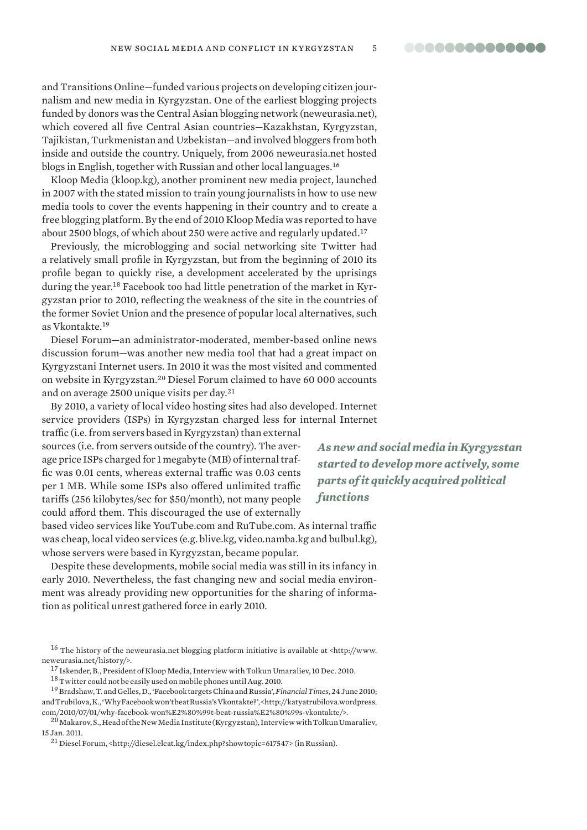and Transitions Online—funded various projects on developing citizen journalism and new media in Kyrgyzstan. One of the earliest blogging projects funded by donors was the Central Asian blogging network (neweurasia.net), which covered all five Central Asian countries—Kazakhstan, Kyrgyzstan, Tajikistan, Turkmenistan and Uzbekistan—and involved bloggers from both inside and outside the country. Uniquely, from 2006 neweurasia.net hosted blogs in English, together with Russian and other local languages.<sup>16</sup>

Kloop Media (kloop.kg), another prominent new media project, launched in 2007 with the stated mission to train young journalists in how to use new media tools to cover the events happening in their country and to create a free blogging platform. By the end of 2010 Kloop Media was reported to have about 2500 blogs, of which about 250 were active and regularly updated.<sup>17</sup>

Previously, the microblogging and social networking site Twitter had a relatively small profile in Kyrgyzstan, but from the beginning of 2010 its profile began to quickly rise, a development accelerated by the uprisings during the year.18 Facebook too had little penetration of the market in Kyrgyzstan prior to 2010, reflecting the weakness of the site in the countries of the former Soviet Union and the presence of popular local alternatives, such as Vkontakte.<sup>19</sup>

Diesel Forum**—**an administrator-moderated, member-based online news discussion forum**—**was another new media tool that had a great impact on Kyrgyzstani Internet users. In 2010 it was the most visited and commented on website in Kyrgyzstan.<sup>20</sup> Diesel Forum claimed to have 60 000 accounts and on average 2500 unique visits per day.<sup>21</sup>

By 2010, a variety of local video hosting sites had also developed. Internet service providers (ISPs) in Kyrgyzstan charged less for internal Internet

traffic (i.e. from servers based in Kyrgyzstan) than external sources (i.e. from servers outside of the country). The average price ISPs charged for 1 megabyte (MB) of internal traffic was 0.01 cents, whereas external traffic was 0.03 cents per 1 MB. While some ISPs also offered unlimited traffic tariffs (256 kilobytes/sec for \$50/month), not many people could afford them. This discouraged the use of externally

based video services like YouTube.com and RuTube.com. As internal traffic was cheap, local video services (e.g. blive.kg, video.namba.kg and bulbul.kg), whose servers were based in Kyrgyzstan, became popular.

Despite these developments, mobile social media was still in its infancy in early 2010. Nevertheless, the fast changing new and social media environment was already providing new opportunities for the sharing of information as political unrest gathered force in early 2010.

<sup>17</sup> Iskender, B., President of Kloop Media, Interview with Tolkun Umaraliev, 10 Dec. 2010.

<sup>19</sup>Bradshaw, T. and Gelles, D., 'Facebook targets China and Russia', *Financial Times*, 24 June 2010; and Trubilova, K., 'Why Facebook won't beat Russia's Vkontakte?', <http://katyatrubilova.wordpress. com/2010/07/01/why-facebook-won%E2%80%99t-beat-russia%E2%80%99s-vkontakte/>.

 $^{20}$ Makarov, S., Head of the New Media Institute (Kyrgyzstan), Interview with Tolkun Umaraliev, 15 Jan. 2011.

<sup>21</sup> Diesel Forum, <http://diesel.elcat.kg/index.php?showtopic=617547> (in Russian).

*As new and social media in Kyrgyzstan started to develop more actively, some parts of it quickly acquired political functions*

<sup>&</sup>lt;sup>16</sup> The history of the neweurasia.net blogging platform initiative is available at <http://www. neweurasia.net/history/>.

<sup>18</sup>Twitter could not be easily used on mobile phones until Aug. 2010.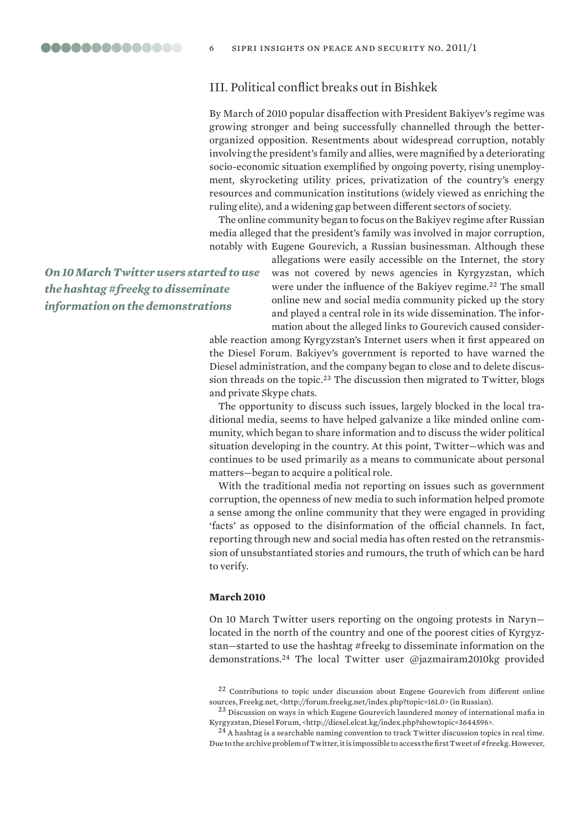# III. Political conflict breaks out in Bishkek

By March of 2010 popular disaffection with President Bakiyev's regime was growing stronger and being successfully channelled through the betterorganized opposition. Resentments about widespread corruption, notably involving the president's family and allies, were magnified by a deteriorating socio-economic situation exemplified by ongoing poverty, rising unemployment, skyrocketing utility prices, privatization of the country's energy resources and communication institutions (widely viewed as enriching the ruling elite), and a widening gap between different sectors of society.

The online community began to focus on the Bakiyev regime after Russian media alleged that the president's family was involved in major corruption, notably with Eugene Gourevich, a Russian businessman. Although these

> allegations were easily accessible on the Internet, the story was not covered by news agencies in Kyrgyzstan, which were under the influence of the Bakiyev regime.<sup>22</sup> The small online new and social media community picked up the story and played a central role in its wide dissemination. The information about the alleged links to Gourevich caused consider-

able reaction among Kyrgyzstan's Internet users when it first appeared on the Diesel Forum. Bakiyev's government is reported to have warned the Diesel administration, and the company began to close and to delete discussion threads on the topic.<sup>23</sup> The discussion then migrated to Twitter, blogs and private Skype chats.

The opportunity to discuss such issues, largely blocked in the local traditional media, seems to have helped galvanize a like minded online community, which began to share information and to discuss the wider political situation developing in the country. At this point, Twitter—which was and continues to be used primarily as a means to communicate about personal matters—began to acquire a political role.

With the traditional media not reporting on issues such as government corruption, the openness of new media to such information helped promote a sense among the online community that they were engaged in providing 'facts' as opposed to the disinformation of the official channels. In fact, reporting through new and social media has often rested on the retransmission of unsubstantiated stories and rumours, the truth of which can be hard to verify.

## **March 2010**

On 10 March Twitter users reporting on the ongoing protests in Naryn located in the north of the country and one of the poorest cities of Kyrgyzstan—started to use the hashtag #freekg to disseminate information on the demonstrations.<sup>24</sup> The local Twitter user @jazmairam2010kg provided

*On 10 March Twitter users started to use the hashtag #freekg to disseminate information on the demonstrations*

 $22$  Contributions to topic under discussion about Eugene Gourevich from different online sources, Freekg.net, <http://forum.freekg.net/index.php?topic=161.0> (in Russian).

 $23$  Discussion on ways in which Eugene Gourevich laundered money of international mafia in Kyrgyzstan, Diesel Forum, <http://diesel.elcat.kg/index.php?showtopic=3644596>.

 $^{24}$  A hashtag is a searchable naming convention to track Twitter discussion topics in real time. Due to the archive problem of Twitter, it is impossible to access the first Tweet of #freekg. However,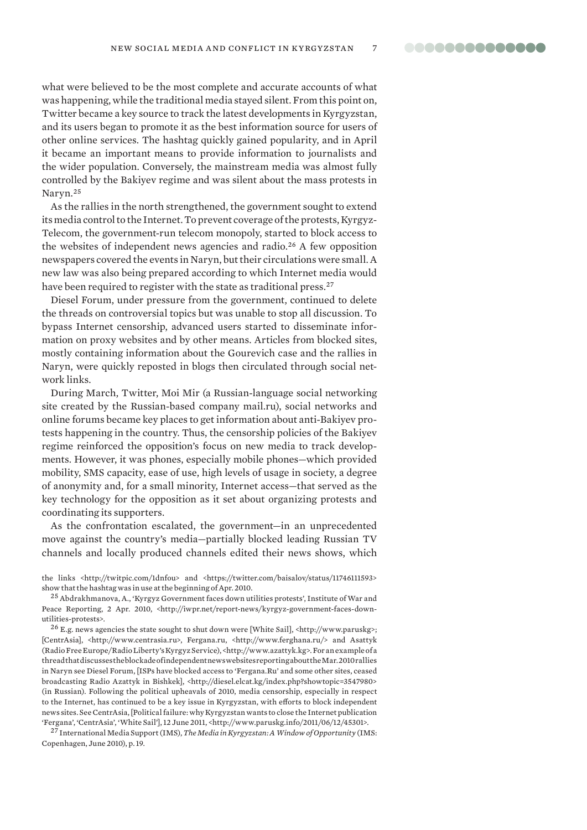what were believed to be the most complete and accurate accounts of what was happening, while the traditional media stayed silent. From this point on, Twitter became a key source to track the latest developments in Kyrgyzstan, and its users began to promote it as the best information source for users of other online services. The hashtag quickly gained popularity, and in April it became an important means to provide information to journalists and the wider population. Conversely, the mainstream media was almost fully controlled by the Bakiyev regime and was silent about the mass protests in Naryn.<sup>25</sup>

As the rallies in the north strengthened, the government sought to extend its media control to the Internet. To prevent coverage of the protests, Kyrgyz-Telecom, the government-run telecom monopoly, started to block access to the websites of independent news agencies and radio.<sup>26</sup> A few opposition newspapers covered the events in Naryn, but their circulations were small. A new law was also being prepared according to which Internet media would have been required to register with the state as traditional press.<sup>27</sup>

Diesel Forum, under pressure from the government, continued to delete the threads on controversial topics but was unable to stop all discussion. To bypass Internet censorship, advanced users started to disseminate information on proxy websites and by other means. Articles from blocked sites, mostly containing information about the Gourevich case and the rallies in Naryn, were quickly reposted in blogs then circulated through social network links.

During March, Twitter, Moi Mir (a Russian-language social networking site created by the Russian-based company mail.ru), social networks and online forums became key places to get information about anti-Bakiyev protests happening in the country. Thus, the censorship policies of the Bakiyev regime reinforced the opposition's focus on new media to track developments. However, it was phones, especially mobile phones—which provided mobility, SMS capacity, ease of use, high levels of usage in society, a degree of anonymity and, for a small minority, Internet access—that served as the key technology for the opposition as it set about organizing protests and coordinating its supporters.

As the confrontation escalated, the government—in an unprecedented move against the country's media—partially blocked leading Russian TV channels and locally produced channels edited their news shows, which

the links <http://twitpic.com/1dnfou> and <https://twitter.com/baisalov/status/11746111593> show that the hashtag was in use at the beginning of Apr. 2010.

<sup>25</sup>Abdrakhmanova, A., 'Kyrgyz Government faces down utilities protests', Institute of War and Peace Reporting, 2 Apr. 2010, <http://iwpr.net/report-news/kyrgyz-government-faces-downutilities-protests>.

<sup>26</sup>E.g. news agencies the state sought to shut down were [White Sail], <http://www.paruskg>; [CentrAsia], <http://www.centrasia.ru>, Fergana.ru, <http://www.ferghana.ru/> and Asattyk (Radio Free Europe/Radio Liberty's Kyrgyz Service), <http://www.azattyk.kg>. For an example of a thread that discusses the blockade of independent news websites reporting about the Mar. 2010 rallies in Naryn see Diesel Forum, [ISPs have blocked access to 'Fergana.Ru' and some other sites, ceased broadcasting Radio Azattyk in Bishkek], <http://diesel.elcat.kg/index.php?showtopic=3547980> (in Russian). Following the political upheavals of 2010, media censorship, especially in respect to the Internet, has continued to be a key issue in Kyrgyzstan, with efforts to block independent news sites. See CentrAsia, [Political failure: why Kyrgyzstan wants to close the Internet publication 'Fergana', 'CentrAsia', 'White Sail'], 12 June 2011, <http://www.paruskg.info/2011/06/12/45301>.

<sup>27</sup>International Media Support (IMS), *The Media in Kyrgyzstan: A Window of Opportunity* (IMS: Copenhagen, June 2010), p. 19.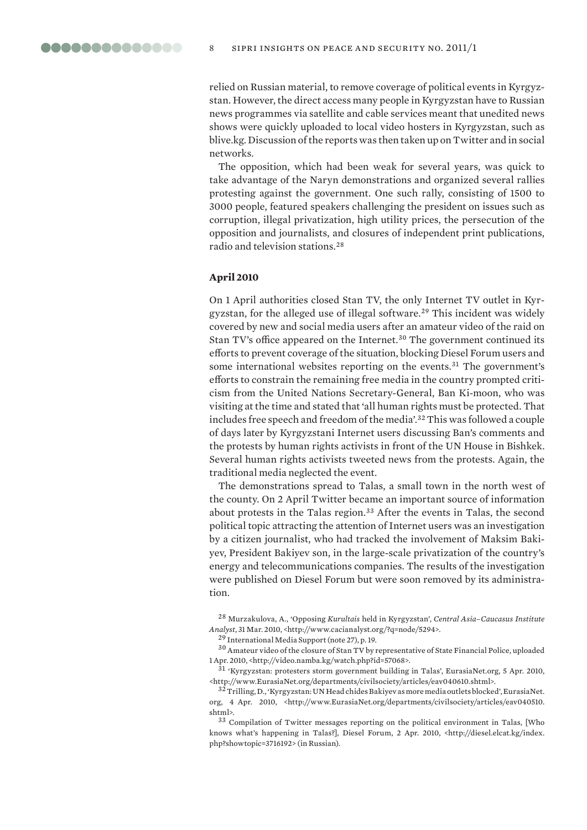relied on Russian material, to remove coverage of political events in Kyrgyzstan. However, the direct access many people in Kyrgyzstan have to Russian news programmes via satellite and cable services meant that unedited news shows were quickly uploaded to local video hosters in Kyrgyzstan, such as blive.kg. Discussion of the reports was then taken up on Twitter and in social networks.

The opposition, which had been weak for several years, was quick to take advantage of the Naryn demonstrations and organized several rallies protesting against the government. One such rally, consisting of 1500 to 3000 people, featured speakers challenging the president on issues such as corruption, illegal privatization, high utility prices, the persecution of the opposition and journalists, and closures of independent print publications, radio and television stations.<sup>28</sup>

# **April 2010**

On 1 April authorities closed Stan TV, the only Internet TV outlet in Kyrgyzstan, for the alleged use of illegal software.<sup>29</sup> This incident was widely covered by new and social media users after an amateur video of the raid on Stan TV's office appeared on the Internet.<sup>30</sup> The government continued its efforts to prevent coverage of the situation, blocking Diesel Forum users and some international websites reporting on the events.<sup>31</sup> The government's efforts to constrain the remaining free media in the country prompted criticism from the United Nations Secretary-General, Ban Ki-moon, who was visiting at the time and stated that 'all human rights must be protected. That includes free speech and freedom of the media'.<sup>32</sup> This was followed a couple of days later by Kyrgyzstani Internet users discussing Ban's comments and the protests by human rights activists in front of the UN House in Bishkek. Several human rights activists tweeted news from the protests. Again, the traditional media neglected the event.

The demonstrations spread to Talas, a small town in the north west of the county. On 2 April Twitter became an important source of information about protests in the Talas region.<sup>33</sup> After the events in Talas, the second political topic attracting the attention of Internet users was an investigation by a citizen journalist, who had tracked the involvement of Maksim Bakiyev, President Bakiyev son, in the large-scale privatization of the country's energy and telecommunications companies. The results of the investigation were published on Diesel Forum but were soon removed by its administration.

<sup>28</sup>Murzakulova, A., 'Opposing *Kurultais* held in Kyrgyzstan', *Central Asia–Caucasus Institute Analyst*, 31 Mar. 2010, <http://www.cacianalyst.org/?q=node/5294>.

<sup>29</sup>International Media Support (note 27), p. 19.

<sup>30</sup>Amateur video of the closure of Stan TV by representative of State Financial Police, uploaded 1 Apr. 2010, <http://video.namba.kg/watch.php?id=57068>.

<sup>31</sup>'Kyrgyzstan: protesters storm government building in Talas', EurasiaNet.org, 5 Apr. 2010, <http://www.EurasiaNet.org/departments/civilsociety/articles/eav040610.shtml>.

<sup>32</sup>Trilling, D., 'Kyrgyzstan: UN Head chides Bakiyev as more media outlets blocked', EurasiaNet. org, 4 Apr. 2010, <http://www.EurasiaNet.org/departments/civilsociety/articles/eav040510. shtml>.

<sup>33</sup>Compilation of Twitter messages reporting on the political environment in Talas, [Who knows what's happening in Talas?], Diesel Forum, 2 Apr. 2010, <http://diesel.elcat.kg/index. php?showtopic=3716192> (in Russian).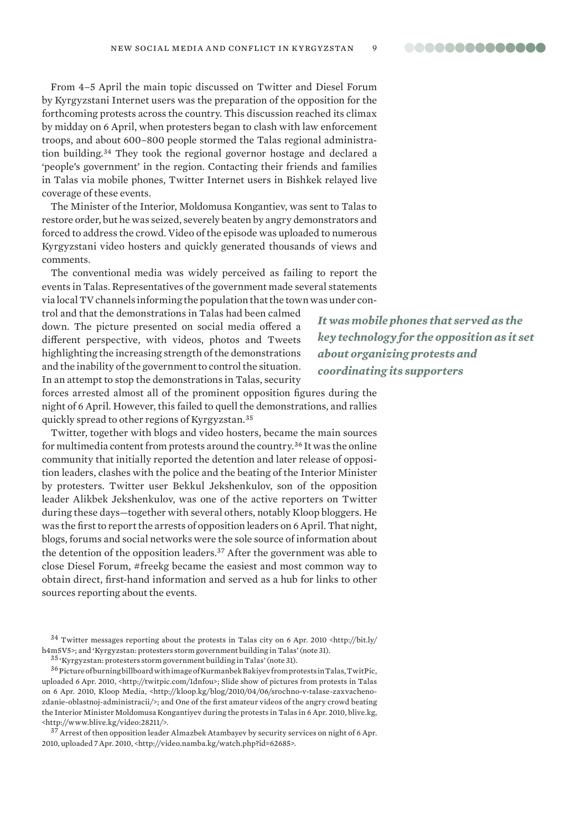From 4–5 April the main topic discussed on Twitter and Diesel Forum by Kyrgyzstani Internet users was the preparation of the opposition for the forthcoming protests across the country. This discussion reached its climax by midday on 6 April, when protesters began to clash with law enforcement troops, and about 600–800 people stormed the Talas regional administration building.<sup>34</sup> They took the regional governor hostage and declared a 'people's government' in the region. Contacting their friends and families in Talas via mobile phones, Twitter Internet users in Bishkek relayed live coverage of these events.

The Minister of the Interior, Moldomusa Kongantiev, was sent to Talas to restore order, but he was seized, severely beaten by angry demonstrators and forced to address the crowd. Video of the episode was uploaded to numerous Kyrgyzstani video hosters and quickly generated thousands of views and comments.

The conventional media was widely perceived as failing to report the events in Talas. Representatives of the government made several statements via local TV channels informing the population that the town was under con-

trol and that the demonstrations in Talas had been calmed down. The picture presented on social media offered a different perspective, with videos, photos and Tweets highlighting the increasing strength of the demonstrations and the inability of the government to control the situation. In an attempt to stop the demonstrations in Talas, security

forces arrested almost all of the prominent opposition figures during the night of 6 April. However, this failed to quell the demonstrations, and rallies quickly spread to other regions of Kyrgyzstan.<sup>35</sup>

Twitter, together with blogs and video hosters, became the main sources for multimedia content from protests around the country.<sup>36</sup> It was the online community that initially reported the detention and later release of opposition leaders, clashes with the police and the beating of the Interior Minister by protesters. Twitter user Bekkul Jekshenkulov, son of the opposition leader Alikbek Jekshenkulov, was one of the active reporters on Twitter during these days—together with several others, notably Kloop bloggers. He was the first to report the arrests of opposition leaders on 6 April. That night, blogs, forums and social networks were the sole source of information about the detention of the opposition leaders.<sup>37</sup> After the government was able to close Diesel Forum, #freekg became the easiest and most common way to obtain direct, first-hand information and served as a hub for links to other sources reporting about the events.

<sup>34</sup>Twitter messages reporting about the protests in Talas city on 6 Apr. 2010 <http://bit.ly/ h4m5V5>; and 'Kyrgyzstan: protesters storm government building in Talas' (note 31).

<sup>35</sup>'Kyrgyzstan: protesters storm government building in Talas' (note 31).

 $^{36}\rm{P}$ icture of burning billboard with image of Kurmanbek Bakiyev from protests in Talas, TwitPic, uploaded 6 Apr. 2010, <http://twitpic.com/1dnfou>; Slide show of pictures from protests in Talas on 6 Apr. 2010, Kloop Media, <http://kloop.kg/blog/2010/04/06/srochno-v-talase-zaxvachenozdanie-oblastnoj-administracii/>; and One of the first amateur videos of the angry crowd beating the Interior Minister Moldomusa Kongantiyev during the protests in Talas in 6 Apr. 2010, blive.kg, <http://www.blive.kg/video:28211/>.

<sup>37</sup> Arrest of then opposition leader Almazbek Atambayev by security services on night of 6 Apr. 2010, uploaded 7 Apr. 2010, <http://video.namba.kg/watch.php?id=62685>.

*It was mobile phones that served as the key technology for the opposition as it set about organizing protests and coordinating its supporters*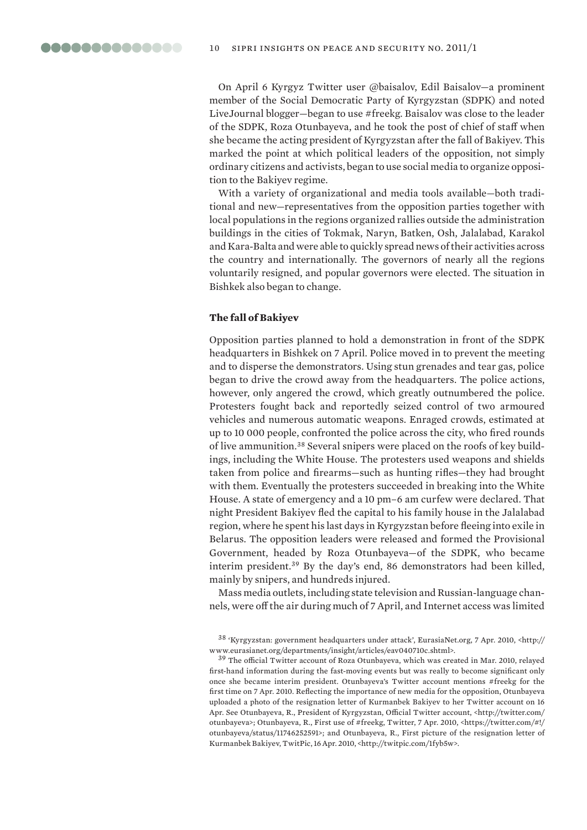On April 6 Kyrgyz Twitter user @baisalov, Edil Baisalov—a prominent member of the Social Democratic Party of Kyrgyzstan (SDPK) and noted LiveJournal blogger—began to use #freekg. Baisalov was close to the leader of the SDPK, Roza Otunbayeva, and he took the post of chief of staff when she became the acting president of Kyrgyzstan after the fall of Bakiyev. This marked the point at which political leaders of the opposition, not simply ordinary citizens and activists, began to use social media to organize opposition to the Bakiyev regime.

With a variety of organizational and media tools available—both traditional and new—representatives from the opposition parties together with local populations in the regions organized rallies outside the administration buildings in the cities of Tokmak, Naryn, Batken, Osh, Jalalabad, Karakol and Kara-Balta and were able to quickly spread news of their activities across the country and internationally. The governors of nearly all the regions voluntarily resigned, and popular governors were elected. The situation in Bishkek also began to change.

## **The fall of Bakiyev**

Opposition parties planned to hold a demonstration in front of the SDPK headquarters in Bishkek on 7 April. Police moved in to prevent the meeting and to disperse the demonstrators. Using stun grenades and tear gas, police began to drive the crowd away from the headquarters. The police actions, however, only angered the crowd, which greatly outnumbered the police. Protesters fought back and reportedly seized control of two armoured vehicles and numerous automatic weapons. Enraged crowds, estimated at up to 10 000 people, confronted the police across the city, who fired rounds of live ammunition.38 Several snipers were placed on the roofs of key buildings, including the White House. The protesters used weapons and shields taken from police and firearms—such as hunting rifles—they had brought with them. Eventually the protesters succeeded in breaking into the White House. A state of emergency and a 10 pm–6 am curfew were declared. That night President Bakiyev fled the capital to his family house in the Jalalabad region, where he spent his last days in Kyrgyzstan before fleeing into exile in Belarus. The opposition leaders were released and formed the Provisional Government, headed by Roza Otunbayeva—of the SDPK, who became interim president.<sup>39</sup> By the day's end, 86 demonstrators had been killed, mainly by snipers, and hundreds injured.

Mass media outlets, including state television and Russian-language channels, were off the air during much of 7 April, and Internet access was limited

<sup>38</sup>'Kyrgyzstan: government headquarters under attack', EurasiaNet.org, 7 Apr. 2010, <http:// www.eurasianet.org/departments/insight/articles/eav040710c.shtml>.

<sup>39</sup> The official Twitter account of Roza Otunbayeva, which was created in Mar. 2010, relayed first-hand information during the fast-moving events but was really to become significant only once she became interim president. Otunbayeva's Twitter account mentions #freekg for the first time on 7 Apr. 2010. Reflecting the importance of new media for the opposition, Otunbayeva uploaded a photo of the resignation letter of Kurmanbek Bakiyev to her Twitter account on 16 Apr. See Otunbayeva, R., President of Kyrgyzstan, Official Twitter account, <http://twitter.com/ otunbayeva>; Otunbayeva, R., First use of #freekg, Twitter, 7 Apr. 2010, <https://twitter.com/#!/ otunbayeva/status/11746252591>; and Otunbayeva, R., First picture of the resignation letter of Kurmanbek Bakiyev, TwitPic, 16 Apr. 2010, <http://twitpic.com/1fyb5w>.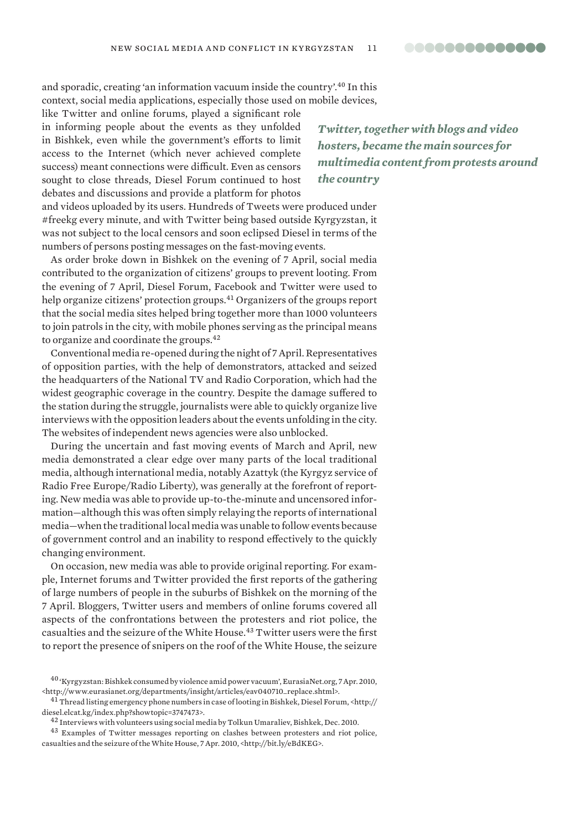and sporadic, creating 'an information vacuum inside the country'.<sup>40</sup> In this context, social media applications, especially those used on mobile devices,

like Twitter and online forums, played a significant role in informing people about the events as they unfolded in Bishkek, even while the government's efforts to limit access to the Internet (which never achieved complete success) meant connections were difficult. Even as censors sought to close threads, Diesel Forum continued to host debates and discussions and provide a platform for photos

*Twitter, together with blogs and video hosters, became the main sources for multimedia content from protests around the country*

and videos uploaded by its users. Hundreds of Tweets were produced under #freekg every minute, and with Twitter being based outside Kyrgyzstan, it was not subject to the local censors and soon eclipsed Diesel in terms of the numbers of persons posting messages on the fast-moving events.

As order broke down in Bishkek on the evening of 7 April, social media contributed to the organization of citizens' groups to prevent looting. From the evening of 7 April, Diesel Forum, Facebook and Twitter were used to help organize citizens' protection groups.<sup>41</sup> Organizers of the groups report that the social media sites helped bring together more than 1000 volunteers to join patrols in the city, with mobile phones serving as the principal means to organize and coordinate the groups.<sup>42</sup>

Conventional media re-opened during the night of 7 April. Representatives of opposition parties, with the help of demonstrators, attacked and seized the headquarters of the National TV and Radio Corporation, which had the widest geographic coverage in the country. Despite the damage suffered to the station during the struggle, journalists were able to quickly organize live interviews with the opposition leaders about the events unfolding in the city. The websites of independent news agencies were also unblocked.

During the uncertain and fast moving events of March and April, new media demonstrated a clear edge over many parts of the local traditional media, although international media, notably Azattyk (the Kyrgyz service of Radio Free Europe/Radio Liberty), was generally at the forefront of reporting. New media was able to provide up-to-the-minute and uncensored information—although this was often simply relaying the reports of international media—when the traditional local media was unable to follow events because of government control and an inability to respond effectively to the quickly changing environment.

On occasion, new media was able to provide original reporting. For example, Internet forums and Twitter provided the first reports of the gathering of large numbers of people in the suburbs of Bishkek on the morning of the 7 April. Bloggers, Twitter users and members of online forums covered all aspects of the confrontations between the protesters and riot police, the casualties and the seizure of the White House.<sup>43</sup> Twitter users were the first to report the presence of snipers on the roof of the White House, the seizure

<sup>40</sup>'Kyrgyzstan: Bishkek consumed by violence amid power vacuum', EurasiaNet.org, 7 Apr. 2010, <http://www.eurasianet.org/departments/insight/articles/eav040710\_replace.shtml>.

 $^{41}$ Thread listing emergency phone numbers in case of looting in Bishkek, Diesel Forum, <http:// diesel.elcat.kg/index.php?showtopic=3747473>.

<sup>42</sup>Interviews with volunteers using social media by Tolkun Umaraliev, Bishkek, Dec. 2010.

<sup>&</sup>lt;sup>43</sup> Examples of Twitter messages reporting on clashes between protesters and riot police, casualties and the seizure of the White House, 7 Apr. 2010, <http://bit.ly/eBdKEG>.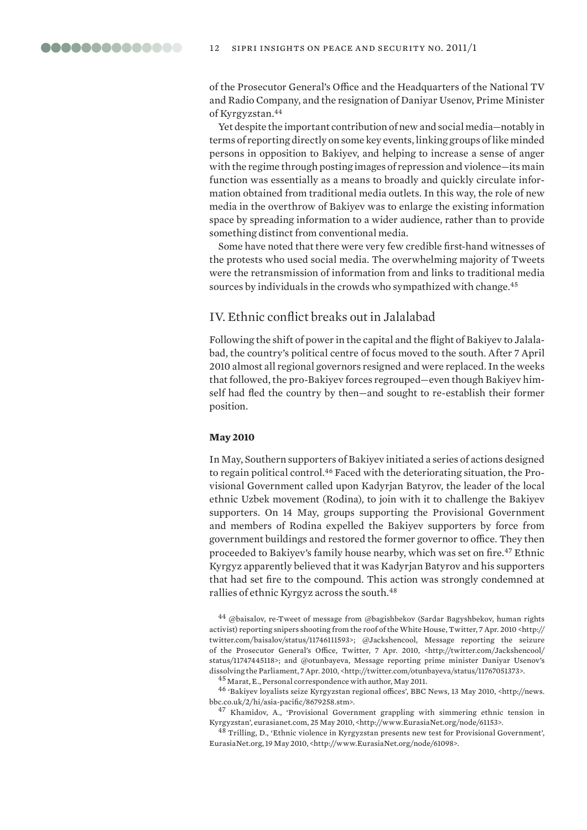of the Prosecutor General's Office and the Headquarters of the National TV and Radio Company, and the resignation of Daniyar Usenov, Prime Minister of Kyrgyzstan.<sup>44</sup>

Yet despite the important contribution of new and social media—notably in terms of reporting directly on some key events, linking groups of like minded persons in opposition to Bakiyev, and helping to increase a sense of anger with the regime through posting images of repression and violence—its main function was essentially as a means to broadly and quickly circulate information obtained from traditional media outlets. In this way, the role of new media in the overthrow of Bakiyev was to enlarge the existing information space by spreading information to a wider audience, rather than to provide something distinct from conventional media.

Some have noted that there were very few credible first-hand witnesses of the protests who used social media. The overwhelming majority of Tweets were the retransmission of information from and links to traditional media sources by individuals in the crowds who sympathized with change.<sup>45</sup>

# IV. Ethnic conflict breaks out in Jalalabad

Following the shift of power in the capital and the flight of Bakiyev to Jalalabad, the country's political centre of focus moved to the south. After 7 April 2010 almost all regional governors resigned and were replaced. In the weeks that followed, the pro-Bakiyev forces regrouped—even though Bakiyev himself had fled the country by then—and sought to re-establish their former position.

## **May 2010**

In May, Southern supporters of Bakiyev initiated a series of actions designed to regain political control.46 Faced with the deteriorating situation, the Provisional Government called upon Kadyrjan Batyrov, the leader of the local ethnic Uzbek movement (Rodina), to join with it to challenge the Bakiyev supporters. On 14 May, groups supporting the Provisional Government and members of Rodina expelled the Bakiyev supporters by force from government buildings and restored the former governor to office. They then proceeded to Bakiyev's family house nearby, which was set on fire.<sup>47</sup> Ethnic Kyrgyz apparently believed that it was Kadyrjan Batyrov and his supporters that had set fire to the compound. This action was strongly condemned at rallies of ethnic Kyrgyz across the south.<sup>48</sup>

<sup>44</sup>@baisalov, re-Tweet of message from @bagishbekov (Sardar Bagyshbekov, human rights activist) reporting snipers shooting from the roof of the White House, Twitter, 7 Apr. 2010 <http:// twitter.com/baisalov/status/11746111593>; @Jackshencool, Message reporting the seizure of the Prosecutor General's Office, Twitter, 7 Apr. 2010, <http://twitter.com/Jackshencool/ status/11747445118>; and @otunbayeva, Message reporting prime minister Daniyar Usenov's dissolving the Parliament, 7 Apr. 2010, <http://twitter.com/otunbayeva/status/11767051373>.

<sup>45</sup> Marat, E., Personal correspondence with author, May 2011.

<sup>46</sup>'Bakiyev loyalists seize Kyrgyzstan regional offices', BBC News, 13 May 2010, <http://news. bbc.co.uk/2/hi/asia-pacific/8679258.stm>.

<sup>47</sup> Khamidov, A., 'Provisional Government grappling with simmering ethnic tension in Kyrgyzstan', eurasianet.com, 25 May 2010, <http://www.EurasiaNet.org/node/61153>.

<sup>48</sup> Trilling, D., 'Ethnic violence in Kyrgyzstan presents new test for Provisional Government', EurasiaNet.org, 19 May 2010, <http://www.EurasiaNet.org/node/61098>.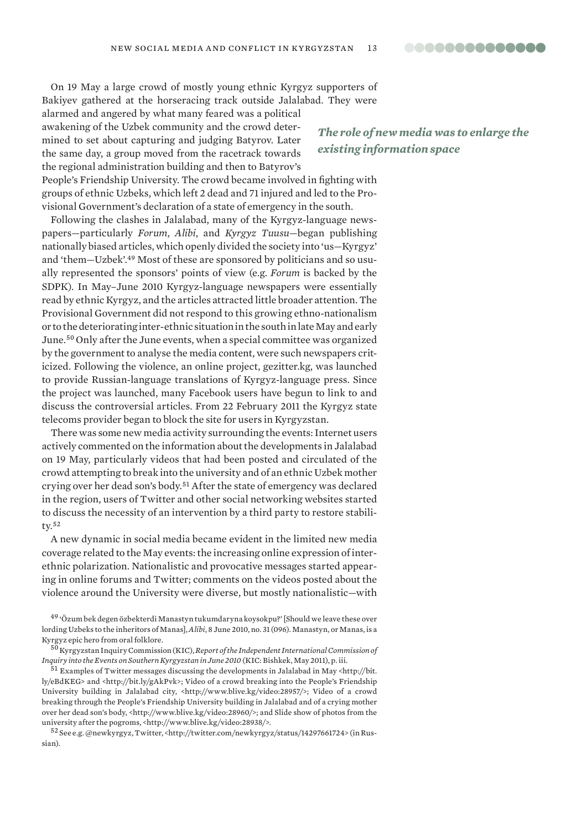On 19 May a large crowd of mostly young ethnic Kyrgyz supporters of Bakiyev gathered at the horseracing track outside Jalalabad. They were

alarmed and angered by what many feared was a political awakening of the Uzbek community and the crowd determined to set about capturing and judging Batyrov. Later the same day, a group moved from the racetrack towards the regional administration building and then to Batyrov's

*The role of new media was to enlarge the existing information space*

People's Friendship University. The crowd became involved in fighting with groups of ethnic Uzbeks, which left 2 dead and 71 injured and led to the Provisional Government's declaration of a state of emergency in the south.

Following the clashes in Jalalabad, many of the Kyrgyz-language newspapers—particularly *Forum*, *Alibi*, and *Kyrgyz Tuusu*—began publishing nationally biased articles, which openly divided the society into 'us—Kyrgyz' and 'them—Uzbek'.49 Most of these are sponsored by politicians and so usually represented the sponsors' points of view (e.g. *Forum* is backed by the SDPK). In May–June 2010 Kyrgyz-language newspapers were essentially read by ethnic Kyrgyz, and the articles attracted little broader attention. The Provisional Government did not respond to this growing ethno-nationalism or to the deteriorating inter-ethnic situation in the south in late May and early June.<sup>50</sup> Only after the June events, when a special committee was organized by the government to analyse the media content, were such newspapers criticized. Following the violence, an online project, gezitter.kg, was launched to provide Russian-language translations of Kyrgyz-language press. Since the project was launched, many Facebook users have begun to link to and discuss the controversial articles. From 22 February 2011 the Kyrgyz state telecoms provider began to block the site for users in Kyrgyzstan.

There was some new media activity surrounding the events: Internet users actively commented on the information about the developments in Jalalabad on 19 May, particularly videos that had been posted and circulated of the crowd attempting to break into the university and of an ethnic Uzbek mother crying over her dead son's body.<sup>51</sup> After the state of emergency was declared in the region, users of Twitter and other social networking websites started to discuss the necessity of an intervention by a third party to restore stability.<sup>52</sup>

A new dynamic in social media became evident in the limited new media coverage related to the May events: the increasing online expression of interethnic polarization. Nationalistic and provocative messages started appearing in online forums and Twitter; comments on the videos posted about the violence around the University were diverse, but mostly nationalistic—with

 $^{51}$  Examples of Twitter messages discussing the developments in Jalalabad in May <http://bit. ly/eBdKEG> and <http://bit.ly/gAkPvk>; Video of a crowd breaking into the People's Friendship University building in Jalalabad city, <http://www.blive.kg/video:28957/>; Video of a crowd breaking through the People's Friendship University building in Jalalabad and of a crying mother over her dead son's body, <http://www.blive.kg/video:28960/>; and Slide show of photos from the university after the pogroms, <http://www.blive.kg/video:28938/>.

<sup>52</sup>See e.g. @newkyrgyz, Twitter, <http://twitter.com/newkyrgyz/status/14297661724> (in Russian).

<sup>49</sup>'Özum bek degen özbekterdi Manastyn tukumdaryna koysokpu?' [Should we leave these over lording Uzbeks to the inheritors of Manas], *Alibi*, 8 June 2010, no. 31 (096). Manastyn, or Manas, is a Kyrgyz epic hero from oral folklore.

<sup>50</sup>Kyrgyzstan Inquiry Commission (KIC), *Report of the Independent International Commission of Inquiry into the Events on Southern Kyrgyzstan in June 2010* (KIC: Bishkek, May 2011), p. iii.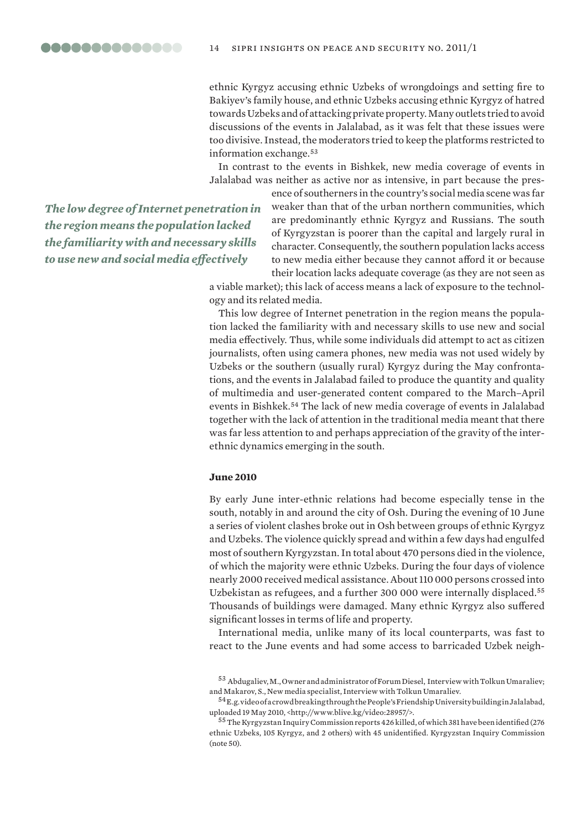ethnic Kyrgyz accusing ethnic Uzbeks of wrongdoings and setting fire to Bakiyev's family house, and ethnic Uzbeks accusing ethnic Kyrgyz of hatred towards Uzbeks and of attacking private property. Many outlets tried to avoid discussions of the events in Jalalabad, as it was felt that these issues were too divisive. Instead, the moderators tried to keep the platforms restricted to information exchange.<sup>53</sup>

In contrast to the events in Bishkek, new media coverage of events in Jalalabad was neither as active nor as intensive, in part because the pres-

*The low degree of Internet penetration in the region means the population lacked the familiarity with and necessary skills to use new and social media effectively*

ence of southerners in the country's social media scene was far weaker than that of the urban northern communities, which are predominantly ethnic Kyrgyz and Russians. The south of Kyrgyzstan is poorer than the capital and largely rural in character. Consequently, the southern population lacks access to new media either because they cannot afford it or because their location lacks adequate coverage (as they are not seen as

a viable market); this lack of access means a lack of exposure to the technology and its related media.

This low degree of Internet penetration in the region means the population lacked the familiarity with and necessary skills to use new and social media effectively. Thus, while some individuals did attempt to act as citizen journalists, often using camera phones, new media was not used widely by Uzbeks or the southern (usually rural) Kyrgyz during the May confrontations, and the events in Jalalabad failed to produce the quantity and quality of multimedia and user-generated content compared to the March–April events in Bishkek.<sup>54</sup> The lack of new media coverage of events in Jalalabad together with the lack of attention in the traditional media meant that there was far less attention to and perhaps appreciation of the gravity of the interethnic dynamics emerging in the south.

# **June 2010**

By early June inter-ethnic relations had become especially tense in the south, notably in and around the city of Osh. During the evening of 10 June a series of violent clashes broke out in Osh between groups of ethnic Kyrgyz and Uzbeks. The violence quickly spread and within a few days had engulfed most of southern Kyrgyzstan. In total about 470 persons died in the violence, of which the majority were ethnic Uzbeks. During the four days of violence nearly 2000 received medical assistance. About 110 000 persons crossed into Uzbekistan as refugees, and a further 300 000 were internally displaced.<sup>55</sup> Thousands of buildings were damaged. Many ethnic Kyrgyz also suffered significant losses in terms of life and property.

International media, unlike many of its local counterparts, was fast to react to the June events and had some access to barricaded Uzbek neigh-

<sup>53</sup>Abdugaliev, M., Owner and administrator of Forum Diesel, Interview with Tolkun Umaraliev; and Makarov, S., New media specialist, Interview with Tolkun Umaraliev.

 $^{54}$ E.g. video of a crowd breaking through the People's Friendship University building in Jalalabad, uploaded 19 May 2010, <http://www.blive.kg/video:28957/>.

<sup>55</sup>The Kyrgyzstan Inquiry Commission reports 426 killed, of which 381 have been identified (276 ethnic Uzbeks, 105 Kyrgyz, and 2 others) with 45 unidentified. Kyrgyzstan Inquiry Commission (note 50).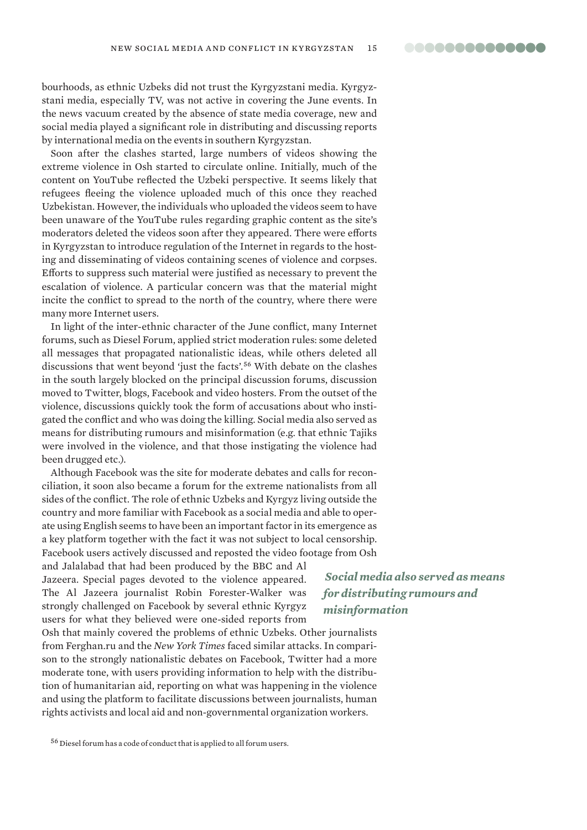00000000000000

bourhoods, as ethnic Uzbeks did not trust the Kyrgyzstani media. Kyrgyzstani media, especially TV, was not active in covering the June events. In the news vacuum created by the absence of state media coverage, new and social media played a significant role in distributing and discussing reports by international media on the events in southern Kyrgyzstan.

Soon after the clashes started, large numbers of videos showing the extreme violence in Osh started to circulate online. Initially, much of the content on YouTube reflected the Uzbeki perspective. It seems likely that refugees fleeing the violence uploaded much of this once they reached Uzbekistan. However, the individuals who uploaded the videos seem to have been unaware of the YouTube rules regarding graphic content as the site's moderators deleted the videos soon after they appeared. There were efforts in Kyrgyzstan to introduce regulation of the Internet in regards to the hosting and disseminating of videos containing scenes of violence and corpses. Efforts to suppress such material were justified as necessary to prevent the escalation of violence. A particular concern was that the material might incite the conflict to spread to the north of the country, where there were many more Internet users.

In light of the inter-ethnic character of the June conflict, many Internet forums, such as Diesel Forum, applied strict moderation rules: some deleted all messages that propagated nationalistic ideas, while others deleted all discussions that went beyond 'just the facts'.<sup>56</sup> With debate on the clashes in the south largely blocked on the principal discussion forums, discussion moved to Twitter, blogs, Facebook and video hosters. From the outset of the violence, discussions quickly took the form of accusations about who instigated the conflict and who was doing the killing. Social media also served as means for distributing rumours and misinformation (e.g. that ethnic Tajiks were involved in the violence, and that those instigating the violence had been drugged etc.).

Although Facebook was the site for moderate debates and calls for reconciliation, it soon also became a forum for the extreme nationalists from all sides of the conflict. The role of ethnic Uzbeks and Kyrgyz living outside the country and more familiar with Facebook as a social media and able to operate using English seems to have been an important factor in its emergence as a key platform together with the fact it was not subject to local censorship. Facebook users actively discussed and reposted the video footage from Osh

and Jalalabad that had been produced by the BBC and Al Jazeera. Special pages devoted to the violence appeared. The Al Jazeera journalist Robin Forester-Walker was strongly challenged on Facebook by several ethnic Kyrgyz users for what they believed were one-sided reports from

 *Social media also served as means for distributing rumours and misinformation*

Osh that mainly covered the problems of ethnic Uzbeks. Other journalists from Ferghan.ru and the *New York Times* faced similar attacks. In comparison to the strongly nationalistic debates on Facebook, Twitter had a more moderate tone, with users providing information to help with the distribution of humanitarian aid, reporting on what was happening in the violence and using the platform to facilitate discussions between journalists, human rights activists and local aid and non-governmental organization workers.

<sup>56</sup> Diesel forum has a code of conduct that is applied to all forum users.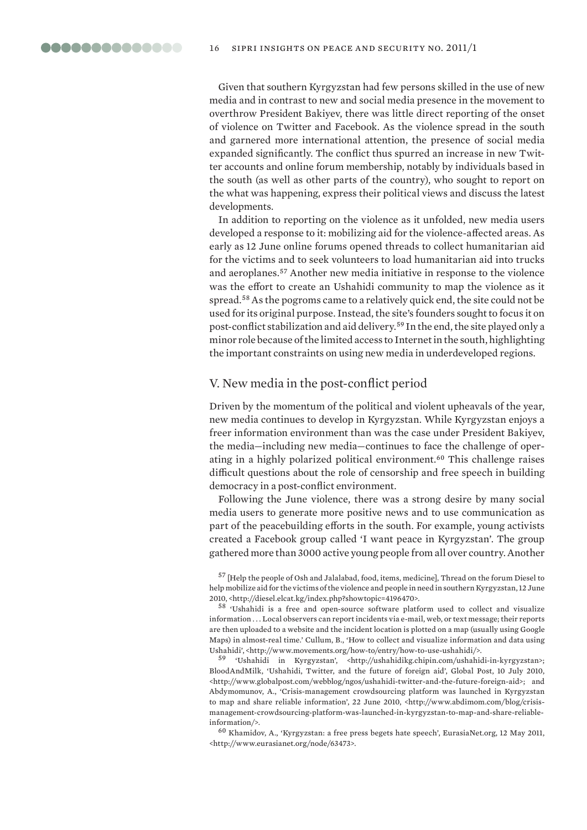Given that southern Kyrgyzstan had few persons skilled in the use of new media and in contrast to new and social media presence in the movement to overthrow President Bakiyev, there was little direct reporting of the onset of violence on Twitter and Facebook. As the violence spread in the south and garnered more international attention, the presence of social media expanded significantly. The conflict thus spurred an increase in new Twitter accounts and online forum membership, notably by individuals based in the south (as well as other parts of the country), who sought to report on the what was happening, express their political views and discuss the latest developments.

In addition to reporting on the violence as it unfolded, new media users developed a response to it: mobilizing aid for the violence-affected areas. As early as 12 June online forums opened threads to collect humanitarian aid for the victims and to seek volunteers to load humanitarian aid into trucks and aeroplanes.<sup>57</sup> Another new media initiative in response to the violence was the effort to create an Ushahidi community to map the violence as it spread.<sup>58</sup> As the pogroms came to a relatively quick end, the site could not be used for its original purpose. Instead, the site's founders sought to focus it on post-conflict stabilization and aid delivery.<sup>59</sup> In the end, the site played only a minor role because of the limited access to Internet in the south, highlighting the important constraints on using new media in underdeveloped regions.

# V. New media in the post-conflict period

Driven by the momentum of the political and violent upheavals of the year, new media continues to develop in Kyrgyzstan. While Kyrgyzstan enjoys a freer information environment than was the case under President Bakiyev, the media—including new media—continues to face the challenge of operating in a highly polarized political environment.<sup>60</sup> This challenge raises difficult questions about the role of censorship and free speech in building democracy in a post-conflict environment.

Following the June violence, there was a strong desire by many social media users to generate more positive news and to use communication as part of the peacebuilding efforts in the south. For example, young activists created a Facebook group called 'I want peace in Kyrgyzstan'. The group gathered more than 3000 active young people from all over country. Another

<sup>59</sup>'Ushahidi in Kyrgyzstan', <http://ushahidikg.chipin.com/ushahidi-in-kyrgyzstan>; BloodAndMilk, 'Ushahidi, Twitter, and the future of foreign aid', Global Post, 10 July 2010, <http://www.globalpost.com/webblog/ngos/ushahidi-twitter-and-the-future-foreign-aid>; and Abdymomunov, A., 'Crisis-management crowdsourcing platform was launched in Kyrgyzstan to map and share reliable information', 22 June 2010, <http://www.abdimom.com/blog/crisismanagement-crowdsourcing-platform-was-launched-in-kyrgyzstan-to-map-and-share-reliableinformation/>.

 $^{60}$  Khamidov, A., 'Kyrgyzstan: a free press begets hate speech', EurasiaNet.org, 12 May 2011, <http://www.eurasianet.org/node/63473>.

<sup>57</sup>[Help the people of Osh and Jalalabad, food, items, medicine], Thread on the forum Diesel to help mobilize aid for the victims of the violence and people in need in southern Kyrgyzstan, 12 June 2010, <http://diesel.elcat.kg/index.php?showtopic=4196470>.

<sup>58</sup>'Ushahidi is a free and open-source software platform used to collect and visualize information . . . Local observers can report incidents via e-mail, web, or text message; their reports are then uploaded to a website and the incident location is plotted on a map (usually using Google Maps) in almost-real time.' Cullum, B., 'How to collect and visualize information and data using Ushahidi', <http://www.movements.org/how-to/entry/how-to-use-ushahidi/>.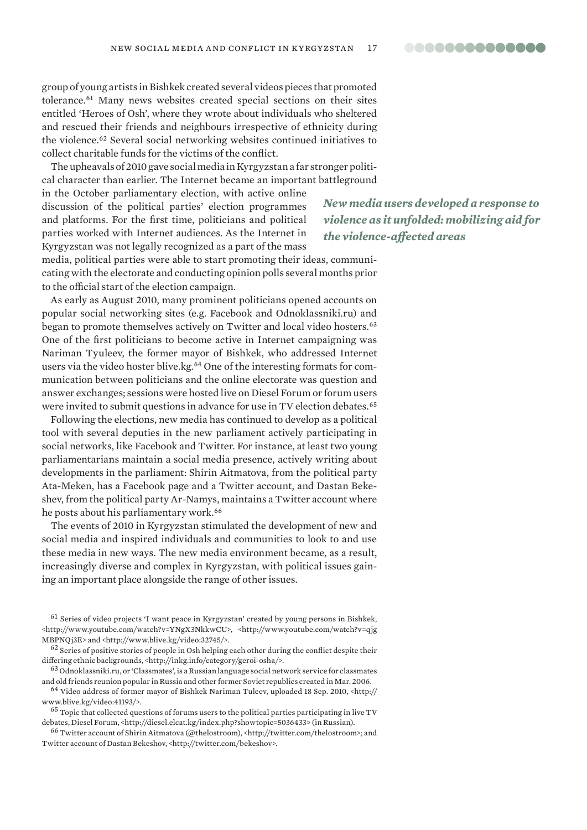group of young artists in Bishkek created several videos pieces that promoted tolerance.<sup>61</sup> Many news websites created special sections on their sites entitled 'Heroes of Osh', where they wrote about individuals who sheltered and rescued their friends and neighbours irrespective of ethnicity during the violence.<sup>62</sup> Several social networking websites continued initiatives to collect charitable funds for the victims of the conflict.

The upheavals of 2010 gave social media in Kyrgyzstan a far stronger political character than earlier. The Internet became an important battleground

in the October parliamentary election, with active online discussion of the political parties' election programmes and platforms. For the first time, politicians and political parties worked with Internet audiences. As the Internet in Kyrgyzstan was not legally recognized as a part of the mass

media, political parties were able to start promoting their ideas, communicating with the electorate and conducting opinion polls several months prior to the official start of the election campaign.

As early as August 2010, many prominent politicians opened accounts on popular social networking sites (e.g. Facebook and Odnoklassniki.ru) and began to promote themselves actively on Twitter and local video hosters.<sup>63</sup> One of the first politicians to become active in Internet campaigning was Nariman Tyuleev, the former mayor of Bishkek, who addressed Internet users via the video hoster blive.kg.64 One of the interesting formats for communication between politicians and the online electorate was question and answer exchanges; sessions were hosted live on Diesel Forum or forum users were invited to submit questions in advance for use in TV election debates.<sup>65</sup>

Following the elections, new media has continued to develop as a political tool with several deputies in the new parliament actively participating in social networks, like Facebook and Twitter. For instance, at least two young parliamentarians maintain a social media presence, actively writing about developments in the parliament: Shirin Aitmatova, from the political party Ata-Meken, has a Facebook page and a Twitter account, and Dastan Bekeshev, from the political party Ar-Namys, maintains a Twitter account where he posts about his parliamentary work.<sup>66</sup>

The events of 2010 in Kyrgyzstan stimulated the development of new and social media and inspired individuals and communities to look to and use these media in new ways. The new media environment became, as a result, increasingly diverse and complex in Kyrgyzstan, with political issues gaining an important place alongside the range of other issues.

<sup>63</sup> Odnoklassniki.ru, or 'Classmates', is a Russian language social network service for classmates and old friends reunion popular in Russia and other former Soviet republics created in Mar. 2006.

<sup>64</sup> Video address of former mayor of Bishkek Nariman Tuleev, uploaded 18 Sep. 2010, <http:// www.blive.kg/video:41193/>.

<sup>65</sup> Topic that collected questions of forums users to the political parties participating in live TV debates, Diesel Forum, <http://diesel.elcat.kg/index.php?showtopic=5036433> (in Russian).

<sup>66</sup>Twitter account of Shirin Aitmatova (@thelostroom), <http://twitter.com/thelostroom>; and Twitter account of Dastan Bekeshov, <http://twitter.com/bekeshov>.

*New media users developed a response to violence as it unfolded: mobilizing aid for the violence-affected areas*

 $61$  Series of video projects 'I want peace in Kyrgyzstan' created by young persons in Bishkek, <http://www.youtube.com/watch?v=YNgX3NkkwCU>, <http://www.youtube.com/watch?v=qjg MBPNQj3E> and <http://www.blive.kg/video:32745/>.

 $62$  Series of positive stories of people in Osh helping each other during the conflict despite their differing ethnic backgrounds, <http://inkg.info/category/geroi-osha/>.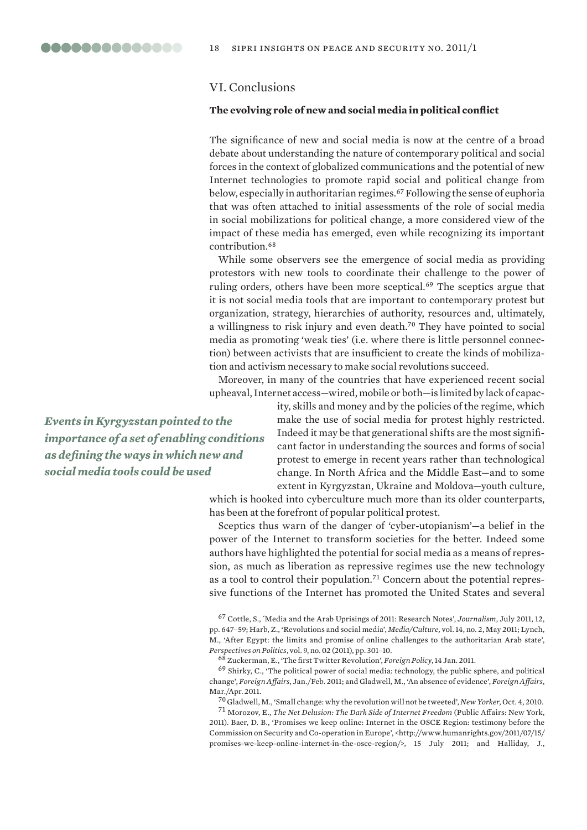# VI. Conclusions

## **The evolving role of new and social media in political conflict**

The significance of new and social media is now at the centre of a broad debate about understanding the nature of contemporary political and social forces in the context of globalized communications and the potential of new Internet technologies to promote rapid social and political change from below, especially in authoritarian regimes.<sup>67</sup> Following the sense of euphoria that was often attached to initial assessments of the role of social media in social mobilizations for political change, a more considered view of the impact of these media has emerged, even while recognizing its important contribution.<sup>68</sup>

While some observers see the emergence of social media as providing protestors with new tools to coordinate their challenge to the power of ruling orders, others have been more sceptical.<sup>69</sup> The sceptics argue that it is not social media tools that are important to contemporary protest but organization, strategy, hierarchies of authority, resources and, ultimately, a willingness to risk injury and even death.<sup>70</sup> They have pointed to social media as promoting 'weak ties' (i.e. where there is little personnel connection) between activists that are insufficient to create the kinds of mobilization and activism necessary to make social revolutions succeed.

Moreover, in many of the countries that have experienced recent social upheaval, Internet access—wired, mobile or both—is limited by lack of capac-

*Events in Kyrgyzstan pointed to the importance of a set of enabling conditions as defining the ways in which new and social media tools could be used*

ity, skills and money and by the policies of the regime, which make the use of social media for protest highly restricted. Indeed it may be that generational shifts are the most significant factor in understanding the sources and forms of social protest to emerge in recent years rather than technological change. In North Africa and the Middle East—and to some extent in Kyrgyzstan, Ukraine and Moldova—youth culture,

which is hooked into cyberculture much more than its older counterparts, has been at the forefront of popular political protest.

Sceptics thus warn of the danger of 'cyber-utopianism'—a belief in the power of the Internet to transform societies for the better. Indeed some authors have highlighted the potential for social media as a means of repression, as much as liberation as repressive regimes use the new technology as a tool to control their population.71 Concern about the potential repressive functions of the Internet has promoted the United States and several

<sup>67</sup>Cottle, S., ´Media and the Arab Uprisings of 2011: Research Notes', *Journalism*, July 2011, 12, pp. 647–59; Harb, Z., 'Revolutions and social media', *Media/Culture,* vol. 14, no. 2, May 2011; Lynch, M., 'After Egypt: the limits and promise of online challenges to the authoritarian Arab state', *Perspectives on Politics*, vol. 9, no. 02 (2011), pp. 301–10.

<sup>68</sup>Zuckerman, E., 'The first Twitter Revolution', *Foreign Policy*, 14 Jan. 2011.

 $69$  Shirky, C., 'The political power of social media: technology, the public sphere, and political change', *Foreign Affairs*, Jan./Feb. 2011; and Gladwell, M., 'An absence of evidence', *Foreign Affairs*, Mar./Apr. 2011.

<sup>70</sup>Gladwell, M., 'Small change: why the revolution will not be tweeted', *New Yorker*, Oct. 4, 2010.

<sup>71</sup>Morozov, E., *The Net Delusion: The Dark Side of Internet Freedom* (Public Affairs: New York, 2011). Baer, D. B., 'Promises we keep online: Internet in the OSCE Region: testimony before the Commission on Security and Co-operation in Europe', <http://www.humanrights.gov/2011/07/15/ promises-we-keep-online-internet-in-the-osce-region/>, 15 July 2011; and Halliday, J.,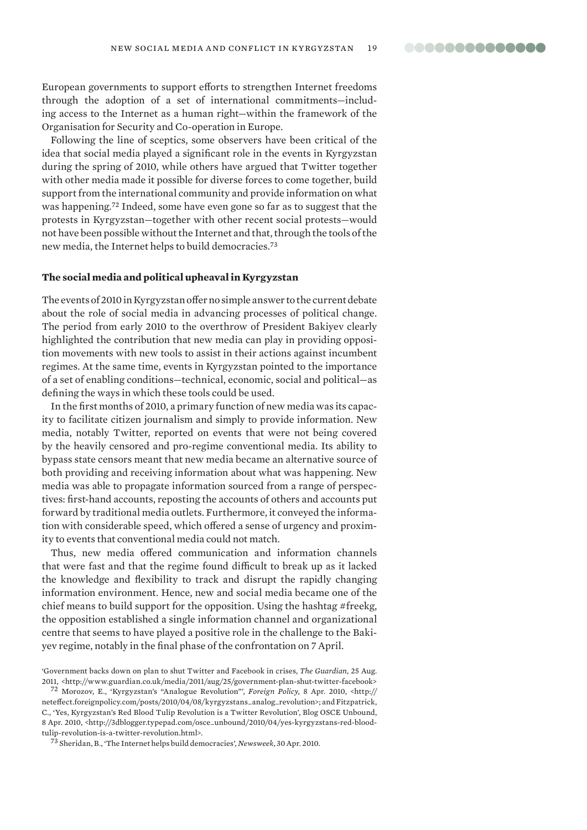European governments to support efforts to strengthen Internet freedoms through the adoption of a set of international commitments—including access to the Internet as a human right—within the framework of the Organisation for Security and Co-operation in Europe.

Following the line of sceptics, some observers have been critical of the idea that social media played a significant role in the events in Kyrgyzstan during the spring of 2010, while others have argued that Twitter together with other media made it possible for diverse forces to come together, build support from the international community and provide information on what was happening.<sup>72</sup> Indeed, some have even gone so far as to suggest that the protests in Kyrgyzstan—together with other recent social protests—would not have been possible without the Internet and that, through the tools of the new media, the Internet helps to build democracies.<sup>73</sup>

# **The social media and political upheaval in Kyrgyzstan**

The events of 2010 in Kyrgyzstan offer no simple answer to the current debate about the role of social media in advancing processes of political change. The period from early 2010 to the overthrow of President Bakiyev clearly highlighted the contribution that new media can play in providing opposition movements with new tools to assist in their actions against incumbent regimes. At the same time, events in Kyrgyzstan pointed to the importance of a set of enabling conditions—technical, economic, social and political—as defining the ways in which these tools could be used.

In the first months of 2010, a primary function of new media was its capacity to facilitate citizen journalism and simply to provide information. New media, notably Twitter, reported on events that were not being covered by the heavily censored and pro-regime conventional media. Its ability to bypass state censors meant that new media became an alternative source of both providing and receiving information about what was happening. New media was able to propagate information sourced from a range of perspectives: first-hand accounts, reposting the accounts of others and accounts put forward by traditional media outlets. Furthermore, it conveyed the information with considerable speed, which offered a sense of urgency and proximity to events that conventional media could not match.

Thus, new media offered communication and information channels that were fast and that the regime found difficult to break up as it lacked the knowledge and flexibility to track and disrupt the rapidly changing information environment. Hence, new and social media became one of the chief means to build support for the opposition. Using the hashtag #freekg, the opposition established a single information channel and organizational centre that seems to have played a positive role in the challenge to the Bakiyev regime, notably in the final phase of the confrontation on 7 April.

<sup>73</sup>Sheridan, B., 'The Internet helps build democracies'*, Newsweek*, 30 Apr. 2010.

<sup>&#</sup>x27;Government backs down on plan to shut Twitter and Facebook in crises, *The Guardian*, 25 Aug. 2011, <http://www.guardian.co.uk/media/2011/aug/25/government-plan-shut-twitter-facebook>

<sup>72</sup>Morozov, E., 'Kyrgyzstan's "Analogue Revolution"', *Foreign Policy*, 8 Apr. 2010, <http:// neteffect.foreignpolicy.com/posts/2010/04/08/kyrgyzstans\_analog\_revolution>; and Fitzpatrick, C., 'Yes, Kyrgyzstan's Red Blood Tulip Revolution is a Twitter Revolution', Blog OSCE Unbound, 8 Apr. 2010, <http://3dblogger.typepad.com/osce\_unbound/2010/04/yes-kyrgyzstans-red-bloodtulip-revolution-is-a-twitter-revolution.html>.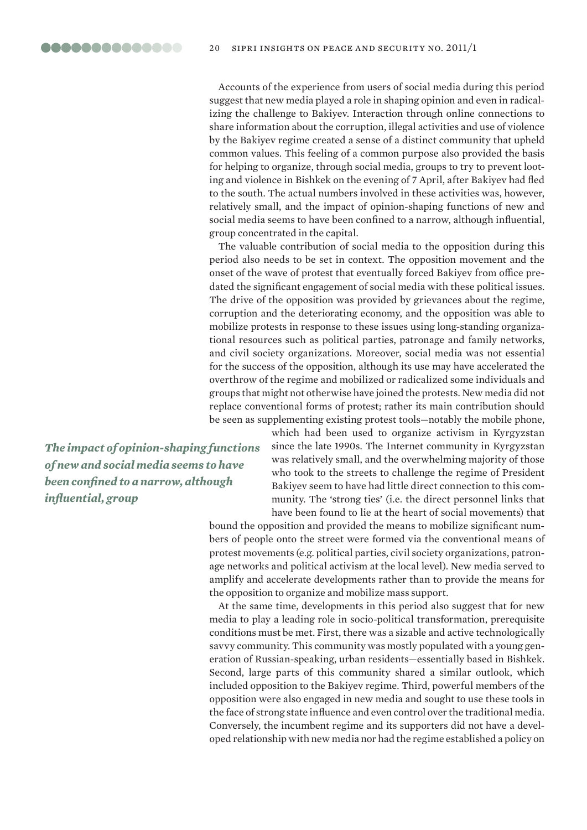Accounts of the experience from users of social media during this period suggest that new media played a role in shaping opinion and even in radicalizing the challenge to Bakiyev. Interaction through online connections to share information about the corruption, illegal activities and use of violence by the Bakiyev regime created a sense of a distinct community that upheld common values. This feeling of a common purpose also provided the basis for helping to organize, through social media, groups to try to prevent looting and violence in Bishkek on the evening of 7 April, after Bakiyev had fled to the south. The actual numbers involved in these activities was, however, relatively small, and the impact of opinion-shaping functions of new and social media seems to have been confined to a narrow, although influential, group concentrated in the capital.

The valuable contribution of social media to the opposition during this period also needs to be set in context. The opposition movement and the onset of the wave of protest that eventually forced Bakiyev from office predated the significant engagement of social media with these political issues. The drive of the opposition was provided by grievances about the regime, corruption and the deteriorating economy, and the opposition was able to mobilize protests in response to these issues using long-standing organizational resources such as political parties, patronage and family networks, and civil society organizations. Moreover, social media was not essential for the success of the opposition, although its use may have accelerated the overthrow of the regime and mobilized or radicalized some individuals and groups that might not otherwise have joined the protests. New media did not replace conventional forms of protest; rather its main contribution should be seen as supplementing existing protest tools—notably the mobile phone,

*The impact of opinion-shaping functions of new and social media seems to have been confined to a narrow, although influential, group*

which had been used to organize activism in Kyrgyzstan since the late 1990s. The Internet community in Kyrgyzstan was relatively small, and the overwhelming majority of those who took to the streets to challenge the regime of President Bakiyev seem to have had little direct connection to this community. The 'strong ties' (i.e. the direct personnel links that have been found to lie at the heart of social movements) that

bound the opposition and provided the means to mobilize significant numbers of people onto the street were formed via the conventional means of protest movements (e.g. political parties, civil society organizations, patronage networks and political activism at the local level). New media served to amplify and accelerate developments rather than to provide the means for the opposition to organize and mobilize mass support.

At the same time, developments in this period also suggest that for new media to play a leading role in socio-political transformation, prerequisite conditions must be met. First, there was a sizable and active technologically savvy community. This community was mostly populated with a young generation of Russian-speaking, urban residents—essentially based in Bishkek. Second, large parts of this community shared a similar outlook, which included opposition to the Bakiyev regime. Third, powerful members of the opposition were also engaged in new media and sought to use these tools in the face of strong state influence and even control over the traditional media. Conversely, the incumbent regime and its supporters did not have a developed relationship with new media nor had the regime established a policy on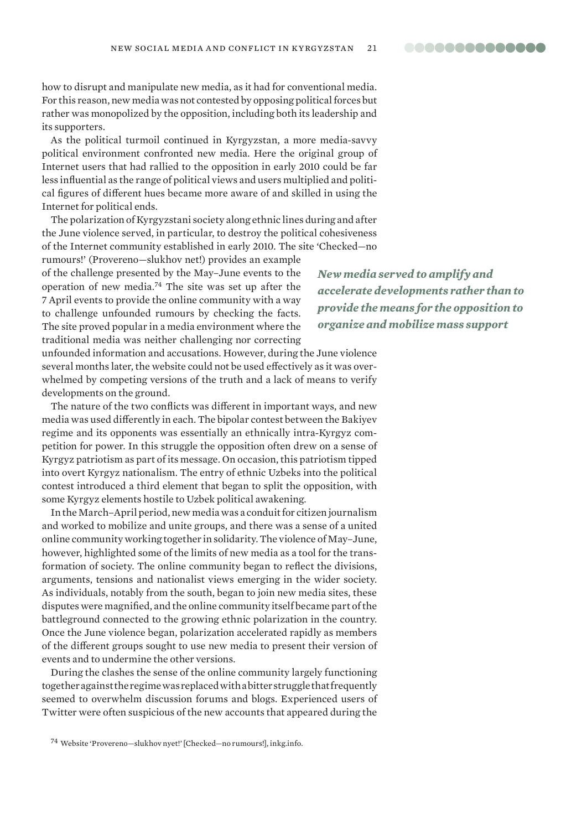00000000000000

how to disrupt and manipulate new media, as it had for conventional media. For this reason, new media was not contested by opposing political forces but rather was monopolized by the opposition, including both its leadership and its supporters.

As the political turmoil continued in Kyrgyzstan, a more media-savvy political environment confronted new media. Here the original group of Internet users that had rallied to the opposition in early 2010 could be far less influential as the range of political views and users multiplied and political figures of different hues became more aware of and skilled in using the Internet for political ends.

The polarization of Kyrgyzstani society along ethnic lines during and after the June violence served, in particular, to destroy the political cohesiveness of the Internet community established in early 2010. The site 'Checked—no

rumours!' (Provereno—slukhov net!) provides an example of the challenge presented by the May–June events to the operation of new media.<sup>74</sup> The site was set up after the 7 April events to provide the online community with a way to challenge unfounded rumours by checking the facts. The site proved popular in a media environment where the traditional media was neither challenging nor correcting

*New media served to amplify and accelerate developments rather than to provide the means for the opposition to organize and mobilize mass support*

unfounded information and accusations. However, during the June violence several months later, the website could not be used effectively as it was overwhelmed by competing versions of the truth and a lack of means to verify developments on the ground.

The nature of the two conflicts was different in important ways, and new media was used differently in each. The bipolar contest between the Bakiyev regime and its opponents was essentially an ethnically intra-Kyrgyz competition for power. In this struggle the opposition often drew on a sense of Kyrgyz patriotism as part of its message. On occasion, this patriotism tipped into overt Kyrgyz nationalism. The entry of ethnic Uzbeks into the political contest introduced a third element that began to split the opposition, with some Kyrgyz elements hostile to Uzbek political awakening.

In the March–April period, new media was a conduit for citizen journalism and worked to mobilize and unite groups, and there was a sense of a united online community working together in solidarity. The violence of May–June, however, highlighted some of the limits of new media as a tool for the transformation of society. The online community began to reflect the divisions, arguments, tensions and nationalist views emerging in the wider society. As individuals, notably from the south, began to join new media sites, these disputes were magnified, and the online community itself became part of the battleground connected to the growing ethnic polarization in the country. Once the June violence began, polarization accelerated rapidly as members of the different groups sought to use new media to present their version of events and to undermine the other versions.

During the clashes the sense of the online community largely functioning together against the regime was replaced with a bitter struggle that frequently seemed to overwhelm discussion forums and blogs. Experienced users of Twitter were often suspicious of the new accounts that appeared during the

<sup>74</sup> Website 'Provereno-slukhov nyet!' [Checked-no rumours!], inkg.info.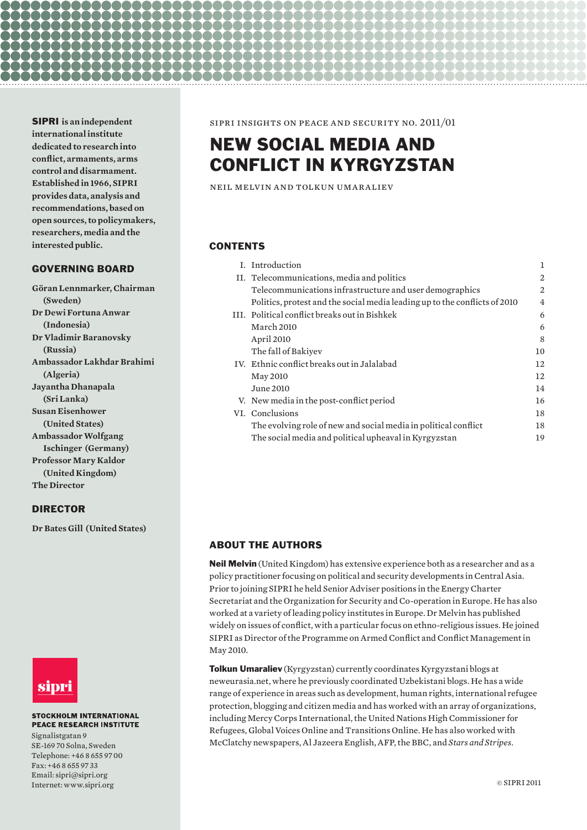SIPRI **is an independent international institute dedicated to research into conflict, armaments, arms control and disarmament. Established in 1966, SIPRI provides data, analysis and recommendations, based on open sources, to policymakers, researchers, media and the interested public.** 

# GOVERNING BOARD

**Göran Lennmarker, Chairman (Sweden) Dr Dewi Fortuna Anwar (Indonesia) Dr Vladimir Baranovsky (Russia) Ambassador Lakhdar Brahimi (Algeria) Jayantha Dhanapala (Sri Lanka) Susan Eisenhower (United States) Ambassador Wolfgang Ischinger (Germany) Professor Mary Kaldor (United Kingdom) The Director**

# DIRECTOR

**Dr Bates Gill (United States)**



#### **STOCKHOLM INTERNATIONAL PEACE RESEARCH INSTITUTE**

Signalistgatan 9 SE-169 70 Solna, Sweden Telephone: +46 8 655 97 00 Fax: +46 8 655 97 33 Email: sipri@sipri.org Internet: www.sipri.org

sipri insights on peace and security no. 2011/01

# NEW SOCIAL MEDIA AND CONFLICT IN KYRGYZSTAN

neil melvin and tolkun umaraliev

## **CONTENTS**

10000000000000

80000000000000000000000000

|  | I. Introduction                                                            |    |
|--|----------------------------------------------------------------------------|----|
|  | II. Telecommunications, media and politics                                 | 2  |
|  | Telecommunications infrastructure and user demographics                    | 2  |
|  | Politics, protest and the social media leading up to the conflicts of 2010 | 4  |
|  | III. Political conflict breaks out in Bishkek                              | 6  |
|  | March 2010                                                                 | 6  |
|  | April 2010                                                                 | 8  |
|  | The fall of Bakiyev                                                        | 10 |
|  | IV. Ethnic conflict breaks out in Jalalabad                                | 12 |
|  | May 2010                                                                   | 12 |
|  | June 2010                                                                  | 14 |
|  | V. New media in the post-conflict period                                   | 16 |
|  | VI. Conclusions                                                            | 18 |
|  | The evolving role of new and social media in political conflict            | 18 |
|  | The social media and political upheaval in Kyrgyzstan                      | 19 |

# ABOUT THE AUTHORS

Neil Melvin (United Kingdom) has extensive experience both as a researcher and as a policy practitioner focusing on political and security developments in Central Asia. Prior to joining SIPRI he held Senior Adviser positions in the Energy Charter Secretariat and the Organization for Security and Co-operation in Europe. He has also worked at a variety of leading policy institutes in Europe. Dr Melvin has published widely on issues of conflict, with a particular focus on ethno-religious issues. He joined SIPRI as Director of the Programme on Armed Conflict and Conflict Management in May 2010.

Tolkun Umaraliev (Kyrgyzstan) currently coordinates Kyrgyzstani blogs at neweurasia.net, where he previously coordinated Uzbekistani blogs. He has a wide range of experience in areas such as development, human rights, international refugee protection, blogging and citizen media and has worked with an array of organizations, including Mercy Corps International, the United Nations High Commissioner for Refugees, Global Voices Online and Transitions Online. He has also worked with McClatchy newspapers, Al Jazeera English, AFP, the BBC, and *Stars and Stripes*.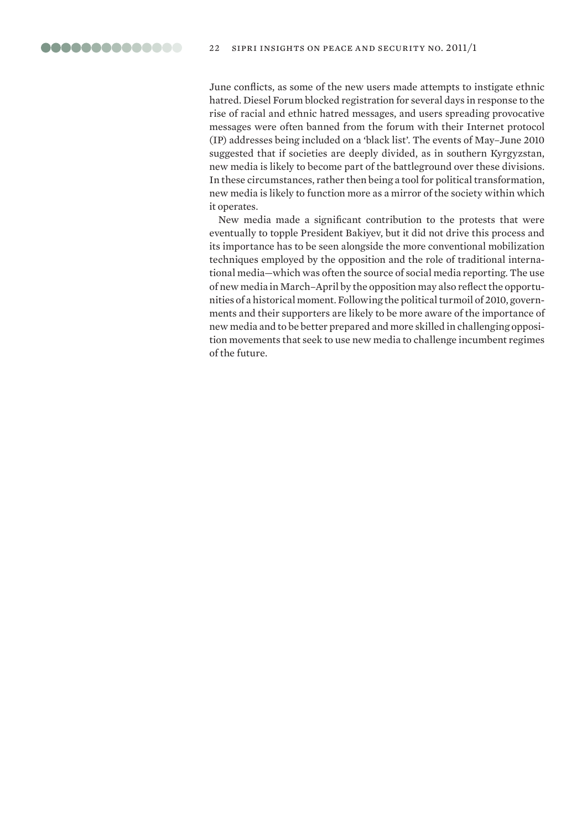June conflicts, as some of the new users made attempts to instigate ethnic hatred. Diesel Forum blocked registration for several days in response to the rise of racial and ethnic hatred messages, and users spreading provocative messages were often banned from the forum with their Internet protocol (IP) addresses being included on a 'black list'. The events of May–June 2010 suggested that if societies are deeply divided, as in southern Kyrgyzstan, new media is likely to become part of the battleground over these divisions. In these circumstances, rather then being a tool for political transformation, new media is likely to function more as a mirror of the society within which it operates.

New media made a significant contribution to the protests that were eventually to topple President Bakiyev, but it did not drive this process and its importance has to be seen alongside the more conventional mobilization techniques employed by the opposition and the role of traditional international media—which was often the source of social media reporting. The use of new media in March–April by the opposition may also reflect the opportunities of a historical moment. Following the political turmoil of 2010, governments and their supporters are likely to be more aware of the importance of new media and to be better prepared and more skilled in challenging opposition movements that seek to use new media to challenge incumbent regimes of the future.